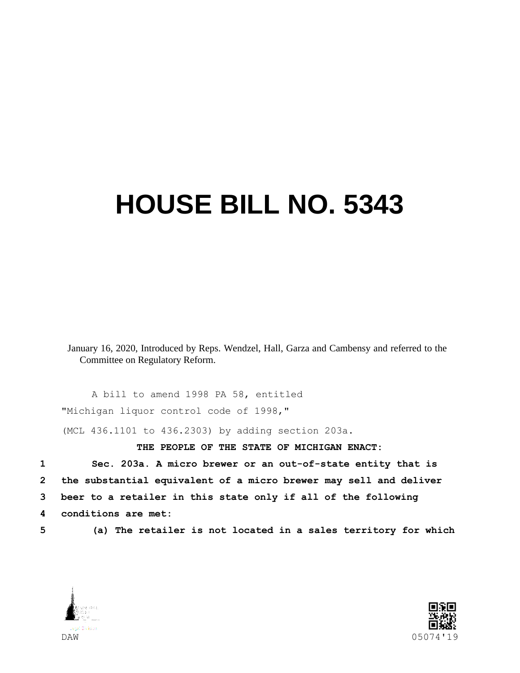## **HOUSE BILL NO. 5343**

January 16, 2020, Introduced by Reps. Wendzel, Hall, Garza and Cambensy and referred to the Committee on Regulatory Reform.

A bill to amend 1998 PA 58, entitled "Michigan liquor control code of 1998,"

(MCL 436.1101 to 436.2303) by adding section 203a.

## **THE PEOPLE OF THE STATE OF MICHIGAN ENACT:**

 **Sec. 203a. A micro brewer or an out-of-state entity that is the substantial equivalent of a micro brewer may sell and deliver beer to a retailer in this state only if all of the following conditions are met:**

**5 (a) The retailer is not located in a sales territory for which** 



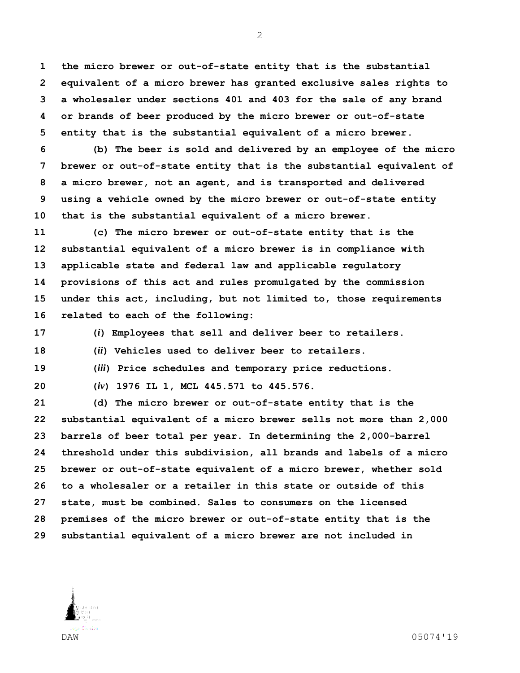**the micro brewer or out-of-state entity that is the substantial equivalent of a micro brewer has granted exclusive sales rights to a wholesaler under sections 401 and 403 for the sale of any brand or brands of beer produced by the micro brewer or out-of-state entity that is the substantial equivalent of a micro brewer.**

 **(b) The beer is sold and delivered by an employee of the micro brewer or out-of-state entity that is the substantial equivalent of a micro brewer, not an agent, and is transported and delivered using a vehicle owned by the micro brewer or out-of-state entity that is the substantial equivalent of a micro brewer.**

 **(c) The micro brewer or out-of-state entity that is the substantial equivalent of a micro brewer is in compliance with applicable state and federal law and applicable regulatory provisions of this act and rules promulgated by the commission under this act, including, but not limited to, those requirements related to each of the following:**

**(***i***) Employees that sell and deliver beer to retailers.**

**(***ii***) Vehicles used to deliver beer to retailers.**

**(***iii***) Price schedules and temporary price reductions.**

**(***iv***) 1976 IL 1, MCL 445.571 to 445.576.**

 **(d) The micro brewer or out-of-state entity that is the substantial equivalent of a micro brewer sells not more than 2,000 barrels of beer total per year. In determining the 2,000-barrel threshold under this subdivision, all brands and labels of a micro brewer or out-of-state equivalent of a micro brewer, whether sold to a wholesaler or a retailer in this state or outside of this state, must be combined. Sales to consumers on the licensed premises of the micro brewer or out-of-state entity that is the substantial equivalent of a micro brewer are not included in** 

DAW 05074'19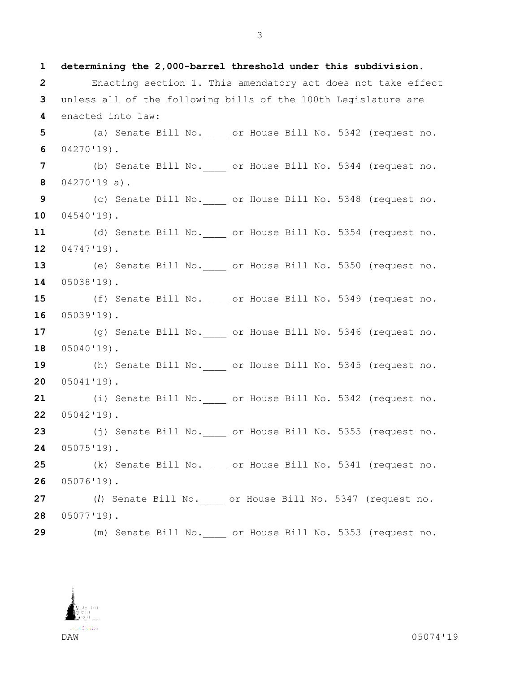**determining the 2,000-barrel threshold under this subdivision.** Enacting section 1. This amendatory act does not take effect unless all of the following bills of the 100th Legislature are enacted into law: (a) Senate Bill No.\_\_\_\_ or House Bill No. 5342 (request no. 04270'19). (b) Senate Bill No.\_\_\_\_ or House Bill No. 5344 (request no. 04270'19 a). (c) Senate Bill No.\_\_\_\_ or House Bill No. 5348 (request no. 04540'19). (d) Senate Bill No.\_\_\_\_ or House Bill No. 5354 (request no. 04747'19). 13 (e) Senate Bill No. or House Bill No. 5350 (request no. 05038'19). 15 (f) Senate Bill No. or House Bill No. 5349 (request no. 05039'19). 17 (g) Senate Bill No. or House Bill No. 5346 (request no. 05040'19). 19 (h) Senate Bill No. or House Bill No. 5345 (request no. 05041'19). (i) Senate Bill No.\_\_\_\_ or House Bill No. 5342 (request no. 05042'19). (j) Senate Bill No.\_\_\_\_ or House Bill No. 5355 (request no. 05075'19). (k) Senate Bill No.\_\_\_\_ or House Bill No. 5341 (request no. 05076'19). (*l*) Senate Bill No.\_\_\_\_ or House Bill No. 5347 (request no. 05077'19). (m) Senate Bill No.\_\_\_\_ or House Bill No. 5353 (request no.